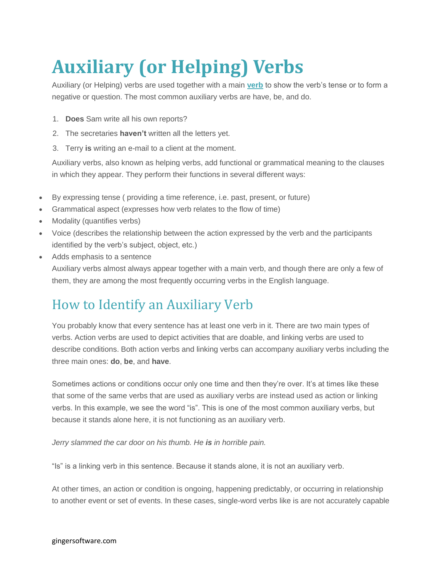# **Auxiliary (or Helping) Verbs**

Auxiliary (or Helping) verbs are used together with a main **[verb](http://www.gingersoftware.com/content/grammar-rules/verbs/)** to show the verb's tense or to form a negative or question. The most common auxiliary verbs are have, be, and do.

- 1. **Does** Sam write all his own reports?
- 2. The secretaries **haven't** written all the letters yet.
- 3. Terry **is** writing an e-mail to a client at the moment.

Auxiliary verbs, also known as helping verbs, add functional or grammatical meaning to the clauses in which they appear. They perform their functions in several different ways:

- By expressing tense ( providing a time reference, i.e. past, present, or future)
- Grammatical aspect (expresses how verb relates to the flow of time)
- Modality (quantifies verbs)
- Voice (describes the relationship between the action expressed by the verb and the participants identified by the verb's subject, object, etc.)
- Adds emphasis to a sentence

Auxiliary verbs almost always appear together with a main verb, and though there are only a few of them, they are among the most frequently occurring verbs in the English language.

### How to Identify an Auxiliary Verb

You probably know that every sentence has at least one verb in it. There are two main types of verbs. Action verbs are used to depict activities that are doable, and linking verbs are used to describe conditions. Both action verbs and linking verbs can accompany auxiliary verbs including the three main ones: **do**, **be**, and **have**.

Sometimes actions or conditions occur only one time and then they're over. It's at times like these that some of the same verbs that are used as auxiliary verbs are instead used as action or linking verbs. In this example, we see the word "is". This is one of the most common auxiliary verbs, but because it stands alone here, it is not functioning as an auxiliary verb.

*Jerry slammed the car door on his thumb. He is in horrible pain.*

"Is" is a linking verb in this sentence. Because it stands alone, it is not an auxiliary verb.

At other times, an action or condition is ongoing, happening predictably, or occurring in relationship to another event or set of events. In these cases, single-word verbs like is are not accurately capable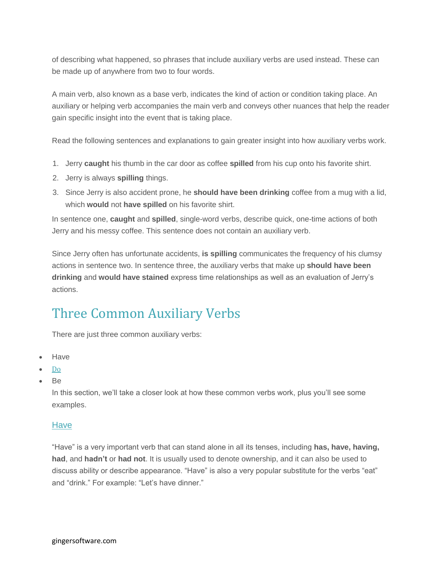of describing what happened, so phrases that include auxiliary verbs are used instead. These can be made up of anywhere from two to four words.

A main verb, also known as a base verb, indicates the kind of action or condition taking place. An auxiliary or helping verb accompanies the main verb and conveys other nuances that help the reader gain specific insight into the event that is taking place.

Read the following sentences and explanations to gain greater insight into how auxiliary verbs work.

- 1. Jerry **caught** his thumb in the car door as coffee **spilled** from his cup onto his favorite shirt.
- 2. Jerry is always **spilling** things.
- 3. Since Jerry is also accident prone, he **should have been drinking** coffee from a mug with a lid, which **would** not **have spilled** on his favorite shirt.

In sentence one, **caught** and **spilled**, single-word verbs, describe quick, one-time actions of both Jerry and his messy coffee. This sentence does not contain an auxiliary verb.

Since Jerry often has unfortunate accidents, **is spilling** communicates the frequency of his clumsy actions in sentence two. In sentence three, the auxiliary verbs that make up **should have been drinking** and **would have stained** express time relationships as well as an evaluation of Jerry's actions.

## Three Common Auxiliary Verbs

There are just three common auxiliary verbs:

- Have
- [Do](http://www.gingersoftware.com/content/grammar-rules/verbs/do-does-did/)
- Be

In this section, we'll take a closer look at how these common verbs work, plus you'll see some examples.

#### **Have**

"Have" is a very important verb that can stand alone in all its tenses, including **has, have, having, had**, and **hadn't** or **had not**. It is usually used to denote ownership, and it can also be used to discuss ability or describe appearance. "Have" is also a very popular substitute for the verbs "eat" and "drink." For example: "Let's have dinner."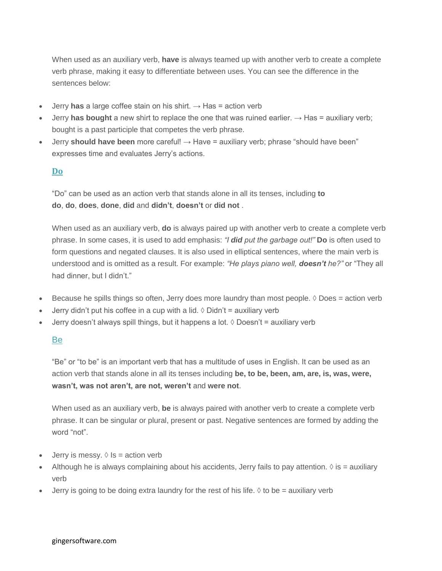When used as an auxiliary verb, **have** is always teamed up with another verb to create a complete verb phrase, making it easy to differentiate between uses. You can see the difference in the sentences below:

- Jerry **has** a large coffee stain on his shirt.  $\rightarrow$  Has = action verb
- Jerry **has bought** a new shirt to replace the one that was ruined earlier.  $\rightarrow$  Has = auxiliary verb; bought is a past participle that competes the verb phrase.
- Jerry **should have been** more careful! → Have = auxiliary verb; phrase "should have been" expresses time and evaluates Jerry's actions.

#### **[Do](http://www.gingersoftware.com/content/grammar-rules/verbs/do-does-did/)**

"Do" can be used as an action verb that stands alone in all its tenses, including **to do**, **do**, **does**, **done**, **did** and **didn't**, **doesn't** or **did not** .

When used as an auxiliary verb, **do** is always paired up with another verb to create a complete verb phrase. In some cases, it is used to add emphasis: *"I did put the garbage out!"* **Do** is often used to form questions and negated clauses. It is also used in elliptical sentences, where the main verb is understood and is omitted as a result. For example: *"He plays piano well, doesn't he?"* or "They all had dinner, but I didn't."

- Because he spills things so often, Jerry does more laundry than most people.  $\Diamond$  Does = action verb
- Jerry didn't put his coffee in a cup with a lid.  $\Diamond$  Didn't = auxiliary verb
- Jerry doesn't always spill things, but it happens a lot.  $\Diamond$  Doesn't = auxiliary verb

#### Be

"Be" or "to be" is an important verb that has a multitude of uses in English. It can be used as an action verb that stands alone in all its tenses including **be, to be, been, am, are, is, was, were, wasn't, was not aren't, are not, weren't** and **were not**.

When used as an auxiliary verb, **be** is always paired with another verb to create a complete verb phrase. It can be singular or plural, present or past. Negative sentences are formed by adding the word "not".

- Jerry is messy.  $\Diamond$  Is = action verb
- Although he is always complaining about his accidents, Jerry fails to pay attention.  $\Diamond$  is = auxiliary verb
- Jerry is going to be doing extra laundry for the rest of his life.  $\Diamond$  to be = auxiliary verb